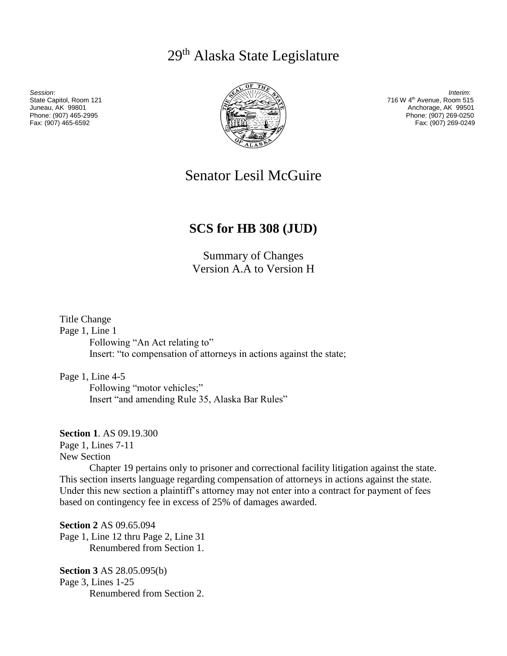29th Alaska State Legislature



*Session*: *Interim*: State Capitol, Room 121 716 W 4th Avenue, Room 515 Anchorage, AK 99501 Phone: (907) 465-2995 Phone: (907) 269-0250 Fax: (907) 269-0249

# Senator Lesil McGuire

## **SCS for HB 308 (JUD)**

Summary of Changes Version A.A to Version H

Title Change

Page 1, Line 1

Following "An Act relating to" Insert: "to compensation of attorneys in actions against the state;

Page 1, Line 4-5

Following "motor vehicles;" Insert "and amending Rule 35, Alaska Bar Rules"

**Section 1**. AS 09.19.300

Page 1, Lines 7-11

New Section

Chapter 19 pertains only to prisoner and correctional facility litigation against the state. This section inserts language regarding compensation of attorneys in actions against the state. Under this new section a plaintiff's attorney may not enter into a contract for payment of fees based on contingency fee in excess of 25% of damages awarded.

**Section 2** AS 09.65.094 Page 1, Line 12 thru Page 2, Line 31 Renumbered from Section 1.

**Section 3** AS 28.05.095(b) Page 3, Lines 1-25 Renumbered from Section 2.